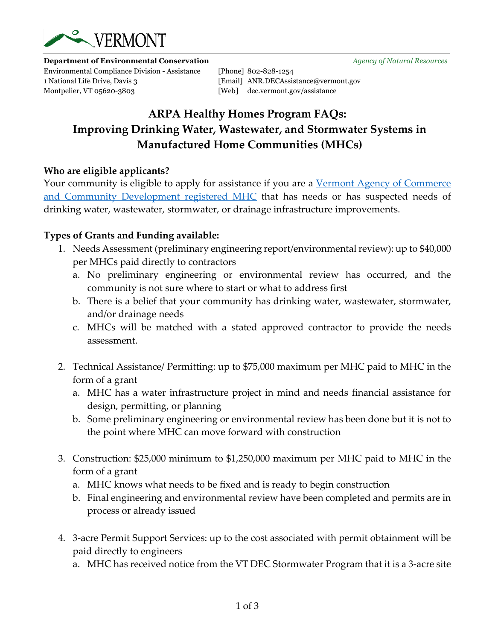

**Department of Environmental Conservation** *Agency of Natural Resources*

Environmental Compliance Division - Assistance [Phone] 802-828-1254 1 National Life Drive, Davis 3 [Email] ANR.DECAssistance@vermont.gov Montpelier, VT 05620-3803 [Web] dec.vermont.gov/assistance

# **ARPA Healthy Homes Program FAQs: Improving Drinking Water, Wastewater, and Stormwater Systems in Manufactured Home Communities (MHCs)**

#### **Who are eligible applicants?**

Your community is eligible to apply for assistance if you are a Vermont Agency of Commerce [and Community Development registered MHC](https://outside.vermont.gov/agency/ACCD/ACCD_Web_Docs/Housing/Mobile-Home-Parks/Registry/MHP-Registry-2021.pdf) that has needs or has suspected needs of drinking water, wastewater, stormwater, or drainage infrastructure improvements.

#### **Types of Grants and Funding available:**

- 1. Needs Assessment (preliminary engineering report/environmental review): up to \$40,000 per MHCs paid directly to contractors
	- a. No preliminary engineering or environmental review has occurred, and the community is not sure where to start or what to address first
	- b. There is a belief that your community has drinking water, wastewater, stormwater, and/or drainage needs
	- c. MHCs will be matched with a stated approved contractor to provide the needs assessment.
- 2. Technical Assistance/ Permitting: up to \$75,000 maximum per MHC paid to MHC in the form of a grant
	- a. MHC has a water infrastructure project in mind and needs financial assistance for design, permitting, or planning
	- b. Some preliminary engineering or environmental review has been done but it is not to the point where MHC can move forward with construction
- 3. Construction: \$25,000 minimum to \$1,250,000 maximum per MHC paid to MHC in the form of a grant
	- a. MHC knows what needs to be fixed and is ready to begin construction
	- b. Final engineering and environmental review have been completed and permits are in process or already issued
- 4. 3-acre Permit Support Services: up to the cost associated with permit obtainment will be paid directly to engineers
	- a. MHC has received notice from the VT DEC Stormwater Program that it is a 3-acre site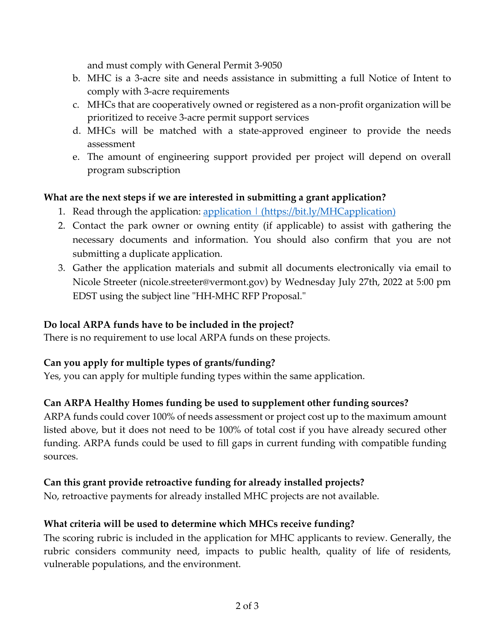and must comply with General Permit 3-9050

- b. MHC is a 3-acre site and needs assistance in submitting a full Notice of Intent to comply with 3-acre requirements
- c. MHCs that are cooperatively owned or registered as a non-profit organization will be prioritized to receive 3-acre permit support services
- d. MHCs will be matched with a state-approved engineer to provide the needs assessment
- e. The amount of engineering support provided per project will depend on overall program subscription

# **What are the next steps if we are interested in submitting a grant application?**

- 1. Read through the application: <u>application | (https://bit.ly/MHCapplication)</u>
- 2. Contact the park owner or owning entity (if applicable) to assist with gathering the necessary documents and information. You should also confirm that you are not submitting a duplicate application.
- 3. Gather the application materials and submit all documents electronically via email to Nicole Streeter (nicole.streeter@vermont.gov) by Wednesday July 27th, 2022 at 5:00 pm EDST using the subject line "HH-MHC RFP Proposal."

#### **Do local ARPA funds have to be included in the project?**

There is no requirement to use local ARPA funds on these projects.

### **Can you apply for multiple types of grants/funding?**

Yes, you can apply for multiple funding types within the same application.

### **Can ARPA Healthy Homes funding be used to supplement other funding sources?**

ARPA funds could cover 100% of needs assessment or project cost up to the maximum amount listed above, but it does not need to be 100% of total cost if you have already secured other funding. ARPA funds could be used to fill gaps in current funding with compatible funding sources.

### **Can this grant provide retroactive funding for already installed projects?**

No, retroactive payments for already installed MHC projects are not available.

### **What criteria will be used to determine which MHCs receive funding?**

The scoring rubric is included in the application for MHC applicants to review. Generally, the rubric considers community need, impacts to public health, quality of life of residents, vulnerable populations, and the environment.